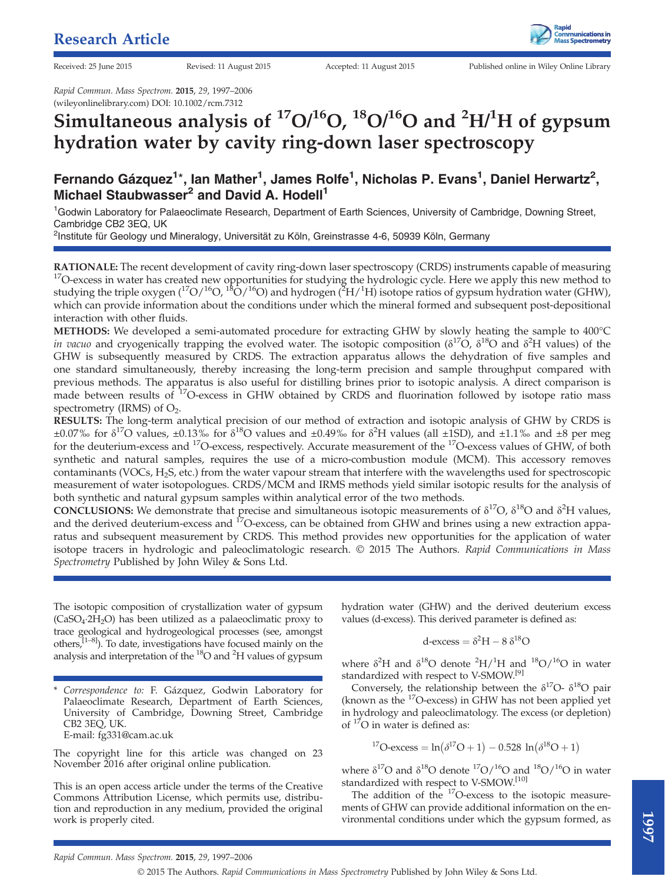Received: 25 June 2015 Revised: 11 August 2015 Accepted: 11 August 2015 Published online in Wiley Online Library

Rapid Commun. Mass Spectrom. 2015, 29, 1997–2006 (wileyonlinelibrary.com) DOI: 10.1002/rcm.7312

# Simultaneous analysis of  $\rm ^{17}O/^{16}O$ ,  $\rm ^{18}O/^{16}O$  and  $\rm ^{2}H/^{1}H$  of gypsum hydration water by cavity ring-down laser spectroscopy

## Fernando Gázquez<sup>1\*</sup>, lan Mather<sup>1</sup>, James Rolfe<sup>1</sup>, Nicholas P. Evans<sup>1</sup>, Daniel Herwartz<sup>2</sup>, Michael Staubwasser<sup>2</sup> and David A. Hodell<sup>1</sup>

<sup>1</sup>Godwin Laboratory for Palaeoclimate Research, Department of Earth Sciences, University of Cambridge, Downing Street, Cambridge CB2 3EQ, UK

<sup>2</sup>Institute für Geology und Mineralogy, Universität zu Köln, Greinstrasse 4-6, 50939 Köln, Germany

**RATIONALE:** The recent development of cavity ring-down laser spectroscopy (CRDS) instruments capable of measuring <sup>17</sup>O-excess in water has created new opportunities for studying the hydrologic cycle. Here we apply this n studying the triple oxygen (<sup>17</sup>O/<sup>16</sup>O, <sup>18</sup>O/<sup>16</sup>O) and hydrogen (<sup>2</sup>H/<sup>1</sup>H) isotope ratios of gypsum hydration water (GHW), which can provide information about the conditions under which the mineral formed and subsequent post-depositional interaction with other fluids.

METHODS: We developed a semi-automated procedure for extracting GHW by slowly heating the sample to 400°C in vacuo and cryogenically trapping the evolved water. The isotopic composition ( $\delta^{17}O$ ,  $\delta^{18}O$  and  $\delta^2H$  values) of the GHW is subsequently measured by CRDS. The extraction apparatus allows the dehydration of five samples and one standard simultaneously, thereby increasing the long-term precision and sample throughput compared with previous methods. The apparatus is also useful for distilling brines prior to isotopic analysis. A direct comparison is made between results of <sup>17</sup>O-excess in GHW obtained by CRDS and fluorination followed by isotope ratio mass spectrometry (IRMS) of  $O<sub>2</sub>$ .

RESULTS: The long-term analytical precision of our method of extraction and isotopic analysis of GHW by CRDS is  $\pm 0.07\%$  for  $\delta^{17}$ O values,  $\pm 0.13\%$  for  $\delta^{18}$ O values and  $\pm 0.49\%$  for  $\delta^{2}$ H values (all  $\pm$ 1SD), and  $\pm 1.1\%$  and  $\pm 8$  per meg for the deuterium-excess and 17O-excess, respectively. Accurate measurement of the 17O-excess values of GHW, of both synthetic and natural samples, requires the use of a micro-combustion module (MCM). This accessory removes contaminants (VOCs, H2S, etc.) from the water vapour stream that interfere with the wavelengths used for spectroscopic measurement of water isotopologues. CRDS/MCM and IRMS methods yield similar isotopic results for the analysis of both synthetic and natural gypsum samples within analytical error of the two methods.

CONCLUSIONS: We demonstrate that precise and simultaneous isotopic measurements of  $\delta^{17}O$ ,  $\delta^{18}O$  and  $\delta^2H$  values, and the derived deuterium-excess and  $^{17}O$ -excess, can be obtained from GHW and brines using a new extraction apparatus and subsequent measurement by CRDS. This method provides new opportunities for the application of water isotope tracers in hydrologic and paleoclimatologic research. © 2015 The Authors. Rapid Communications in Mass Spectrometry Published by John Wiley & Sons Ltd.

The isotopic composition of crystallization water of gypsum  $(CaSO<sub>4</sub>·2H<sub>2</sub>O)$  has been utilized as a palaeoclimatic proxy to trace geological and hydrogeological processes (see, amongst others, $[1-8]$ ). To date, investigations have focused mainly on the analysis and interpretation of the <sup>18</sup>O and <sup>2</sup>H values of gypsum

Correspondence to: F. Gázquez, Godwin Laboratory for Palaeoclimate Research, Department of Earth Sciences, University of Cambridge, Downing Street, Cambridge CB2 3EQ, UK. E-mail: fg331@cam.ac.uk

The copyright line for this article was changed on 23 November 2016 after original online publication.

This is an open access article under the terms of the Creative Commons Attribution License, which permits use, distribution and reproduction in any medium, provided the original work is properly cited.

hydration water (GHW) and the derived deuterium excess values (d-excess). This derived parameter is defined as:

$$
d\text{-excess} = \delta^2 H - 8 \delta^{18} O
$$

where  $\delta^2$ H and  $\delta^{18}$ O denote  $^2$ H/<sup>1</sup>H and  $^{18}$ O/<sup>16</sup>O in water standardized with respect to V-SMOW.[9]

Conversely, the relationship between the  $\delta^{17}O - \delta^{18}O$  pair (known as the  $^{17}$ O-excess) in GHW has not been applied yet in hydrology and paleoclimatology. The excess (or depletion) of  $17$ O in water is defined as:

$$
^{17}O\text{-excess} = ln(\delta^{17}O + 1) - 0.528 \ ln(\delta^{18}O + 1)
$$

where  $\delta^{17}O$  and  $\delta^{18}O$  denote  $^{17}O/^{16}O$  and  $^{18}O/^{16}O$  in water standardized with respect to V-SMOW.[10]

The addition of the <sup>17</sup>O-excess to the isotopic measurements of GHW can provide additional information on the environmental conditions under which the gypsum formed, as

Rapid Commun. Mass Spectrom. 2015, 29, 1997–2006

© 2015 The Authors. Rapid Communications in Mass Spectrometry Published by John Wiley & Sons Ltd.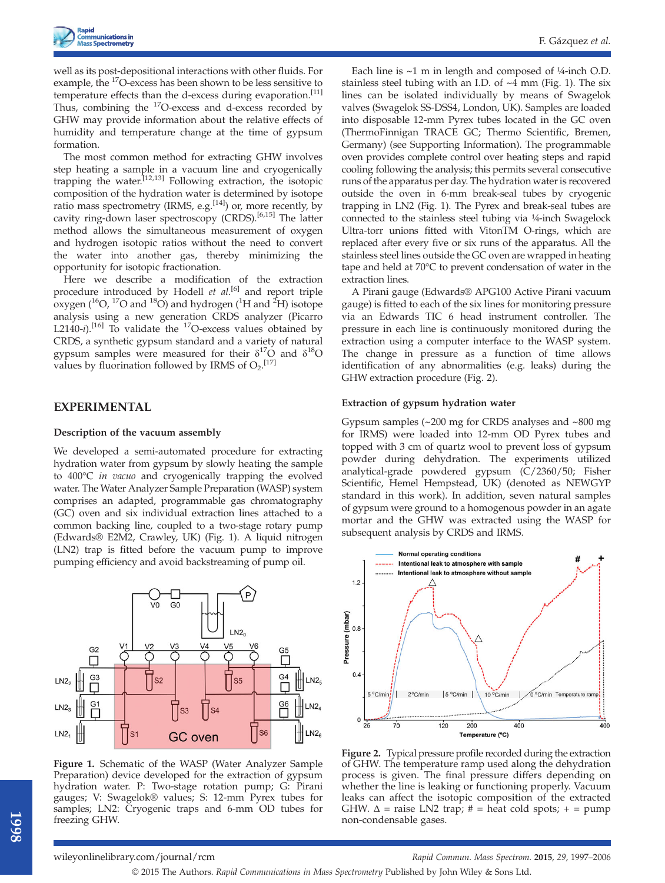well as its post-depositional interactions with other fluids. For example, the 17O-excess has been shown to be less sensitive to temperature effects than the d-excess during evaporation.<sup>[11]</sup> Thus, combining the <sup>17</sup>O-excess and d-excess recorded by GHW may provide information about the relative effects of humidity and temperature change at the time of gypsum formation.

The most common method for extracting GHW involves step heating a sample in a vacuum line and cryogenically trapping the water.[12,13] Following extraction, the isotopic composition of the hydration water is determined by isotope ratio mass spectrometry (IRMS, e.g.  $^{[14]}$ ) or, more recently, by cavity ring-down laser spectroscopy (CRDS).<sup>[6,15]</sup> The latter method allows the simultaneous measurement of oxygen and hydrogen isotopic ratios without the need to convert the water into another gas, thereby minimizing the opportunity for isotopic fractionation.

Here we describe a modification of the extraction procedure introduced by Hodell et al.<sup>[6]</sup> and report triple oxygen ( $^{16}$ O,  $^{17}$ O and  $^{18}$ O) and hydrogen ( $^{1}$ H and  $^{2}$ H) isotope analysis using a new generation CRDS analyzer (Picarro L2140-i).<sup>[16]</sup> To validate the <sup>17</sup>O-excess values obtained by CRDS, a synthetic gypsum standard and a variety of natural gypsum samples were measured for their  $\delta^{17}O$  and  $\delta^{18}O$ values by fluorination followed by IRMS of  $O_2$ .<sup>[17]</sup>

## EXPERIMENTAL

#### Description of the vacuum assembly

We developed a semi-automated procedure for extracting hydration water from gypsum by slowly heating the sample to 400°C in vacuo and cryogenically trapping the evolved water. The Water Analyzer Sample Preparation (WASP) system comprises an adapted, programmable gas chromatography (GC) oven and six individual extraction lines attached to a common backing line, coupled to a two-stage rotary pump (Edwards® E2M2, Crawley, UK) (Fig. 1). A liquid nitrogen (LN2) trap is fitted before the vacuum pump to improve pumping efficiency and avoid backstreaming of pump oil.



Figure 1. Schematic of the WASP (Water Analyzer Sample Preparation) device developed for the extraction of gypsum hydration water. P: Two-stage rotation pump; G: Pirani gauges; V: Swagelok® values; S: 12-mm Pyrex tubes for samples; LN2: Cryogenic traps and 6-mm OD tubes for freezing GHW.

Each line is  $~1$  m in length and composed of  $4/4$ -inch O.D. stainless steel tubing with an I.D. of ~4 mm (Fig. 1). The six lines can be isolated individually by means of Swagelok valves (Swagelok SS-DSS4, London, UK). Samples are loaded into disposable 12-mm Pyrex tubes located in the GC oven (ThermoFinnigan TRACE GC; Thermo Scientific, Bremen, Germany) (see Supporting Information). The programmable oven provides complete control over heating steps and rapid cooling following the analysis; this permits several consecutive runs of the apparatus per day. The hydration water is recovered outside the oven in 6-mm break-seal tubes by cryogenic trapping in LN2 (Fig. 1). The Pyrex and break-seal tubes are connected to the stainless steel tubing via ¼-inch Swagelock Ultra-torr unions fitted with VitonTM O-rings, which are replaced after every five or six runs of the apparatus. All the stainless steel lines outside the GC oven are wrapped in heating tape and held at 70°C to prevent condensation of water in the extraction lines.

A Pirani gauge (Edwards® APG100 Active Pirani vacuum gauge) is fitted to each of the six lines for monitoring pressure via an Edwards TIC 6 head instrument controller. The pressure in each line is continuously monitored during the extraction using a computer interface to the WASP system. The change in pressure as a function of time allows identification of any abnormalities (e.g. leaks) during the GHW extraction procedure (Fig. 2).

#### Extraction of gypsum hydration water

Gypsum samples (~200 mg for CRDS analyses and ~800 mg for IRMS) were loaded into 12-mm OD Pyrex tubes and topped with 3 cm of quartz wool to prevent loss of gypsum powder during dehydration. The experiments utilized analytical-grade powdered gypsum (C/2360/50; Fisher Scientific, Hemel Hempstead, UK) (denoted as NEWGYP standard in this work). In addition, seven natural samples of gypsum were ground to a homogenous powder in an agate mortar and the GHW was extracted using the WASP for subsequent analysis by CRDS and IRMS.



Figure 2. Typical pressure profile recorded during the extraction of GHW. The temperature ramp used along the dehydration process is given. The final pressure differs depending on whether the line is leaking or functioning properly. Vacuum leaks can affect the isotopic composition of the extracted GHW.  $\Delta$  = raise LN2 trap; # = heat cold spots; + = pump non-condensable gases.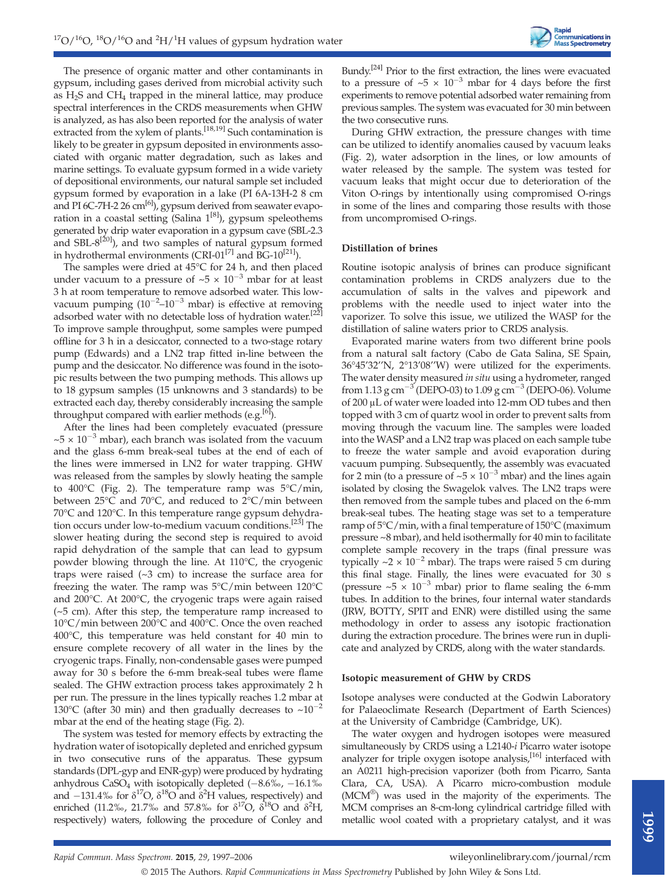The presence of organic matter and other contaminants in gypsum, including gases derived from microbial activity such as  $H_2S$  and  $CH_4$  trapped in the mineral lattice, may produce spectral interferences in the CRDS measurements when GHW is analyzed, as has also been reported for the analysis of water extracted from the xylem of plants.<sup>[18,19]</sup> Such contamination is likely to be greater in gypsum deposited in environments associated with organic matter degradation, such as lakes and marine settings. To evaluate gypsum formed in a wide variety of depositional environments, our natural sample set included gypsum formed by evaporation in a lake (PI 6A-13H-2 8 cm and PI 6C-7H-2 26 cm<sup>[6]</sup>), gypsum derived from seawater evaporation in a coastal setting (Salina  $1^{[8]}$ ), gypsum speleothems generated by drip water evaporation in a gypsum cave (SBL-2.3 and  $SBL-8^{[20]}$ ), and two samples of natural gypsum formed in hydrothermal environments (CRI-01 $^{[7]}$  and BG-10 $^{[21]}$ ).

The samples were dried at 45°C for 24 h, and then placed under vacuum to a pressure of  $\sim 5 \times 10^{-3}$  mbar for at least 3 h at room temperature to remove adsorbed water. This lowvacuum pumping  $(10^{-2} - 10^{-3}$  mbar) is effective at removing adsorbed water with no detectable loss of hydration water.<sup>[22]</sup> To improve sample throughput, some samples were pumped offline for 3 h in a desiccator, connected to a two-stage rotary pump (Edwards) and a LN2 trap fitted in-line between the pump and the desiccator. No difference was found in the isotopic results between the two pumping methods. This allows up to 18 gypsum samples (15 unknowns and 3 standards) to be extracted each day, thereby considerably increasing the sample throughput compared with earlier methods (e.g.  $[6]$ ).

After the lines had been completely evacuated (pressure  $\sim$ 5 × 10<sup>-3</sup> mbar), each branch was isolated from the vacuum and the glass 6-mm break-seal tubes at the end of each of the lines were immersed in LN2 for water trapping. GHW was released from the samples by slowly heating the sample to 400 $\degree$ C (Fig. 2). The temperature ramp was  $5\degree$ C/min, between 25°C and 70°C, and reduced to 2°C/min between 70°C and 120°C. In this temperature range gypsum dehydration occurs under low-to-medium vacuum conditions.<sup>[23]</sup> The slower heating during the second step is required to avoid rapid dehydration of the sample that can lead to gypsum powder blowing through the line. At 110°C, the cryogenic traps were raised  $(\sim 3 \text{ cm})$  to increase the surface area for freezing the water. The ramp was 5°C/min between 120°C and 200°C. At 200°C, the cryogenic traps were again raised  $(-5 \text{ cm})$ . After this step, the temperature ramp increased to 10°C/min between 200°C and 400°C. Once the oven reached 400°C, this temperature was held constant for 40 min to ensure complete recovery of all water in the lines by the cryogenic traps. Finally, non-condensable gases were pumped away for 30 s before the 6-mm break-seal tubes were flame sealed. The GHW extraction process takes approximately 2 h per run. The pressure in the lines typically reaches 1.2 mbar at 130°C (after 30 min) and then gradually decreases to  $\sim 10^{-2}$ mbar at the end of the heating stage (Fig. 2).

The system was tested for memory effects by extracting the hydration water of isotopically depleted and enriched gypsum in two consecutive runs of the apparatus. These gypsum standards (DPL-gyp and ENR-gyp) were produced by hydrating anhydrous  $CaSO_4$  with isotopically depleted  $(-8.6\%,-16.1\%)$ and  $-131.4\%$  for  $\delta^{17}O$ ,  $\delta^{18}O$  and  $\delta^2H$  values, respectively) and enriched (11.2‰, 21.7‰ and 57.8‰ for  $\delta^{17}O$ ,  $\delta^{18}O$  and  $\delta^2H$ , respectively) waters, following the procedure of Conley and

Bundy.<sup>[24]</sup> Prior to the first extraction, the lines were evacuated to a pressure of  $\sim$  5  $\times$  10<sup>-3</sup> mbar for 4 days before the first experiments to remove potential adsorbed water remaining from previous samples. The system was evacuated for 30 min between the two consecutive runs.

During GHW extraction, the pressure changes with time can be utilized to identify anomalies caused by vacuum leaks (Fig. 2), water adsorption in the lines, or low amounts of water released by the sample. The system was tested for vacuum leaks that might occur due to deterioration of the Viton O-rings by intentionally using compromised O-rings in some of the lines and comparing those results with those from uncompromised O-rings.

#### Distillation of brines

Routine isotopic analysis of brines can produce significant contamination problems in CRDS analyzers due to the accumulation of salts in the valves and pipework and problems with the needle used to inject water into the vaporizer. To solve this issue, we utilized the WASP for the distillation of saline waters prior to CRDS analysis.

Evaporated marine waters from two different brine pools from a natural salt factory (Cabo de Gata Salina, SE Spain, 36°45'32''N, 2°13'08''W) were utilized for the experiments. The water density measured in situ using a hydrometer, ranged from 1.13 g cm<sup>-3</sup> (DEPO-03) to 1.09 g cm<sup>-3</sup> (DEPO-06). Volume of 200 μL of water were loaded into 12-mm OD tubes and then topped with 3 cm of quartz wool in order to prevent salts from moving through the vacuum line. The samples were loaded into the WASP and a LN2 trap was placed on each sample tube to freeze the water sample and avoid evaporation during vacuum pumping. Subsequently, the assembly was evacuated for 2 min (to a pressure of  $\sim 5 \times 10^{-3}$  mbar) and the lines again isolated by closing the Swagelok valves. The LN2 traps were then removed from the sample tubes and placed on the 6-mm break-seal tubes. The heating stage was set to a temperature ramp of  $5^{\circ}$ C/min, with a final temperature of  $150^{\circ}$ C (maximum pressure ~8 mbar), and held isothermally for 40 min to facilitate complete sample recovery in the traps (final pressure was typically  $\sim 2 \times 10^{-2}$  mbar). The traps were raised 5 cm during this final stage. Finally, the lines were evacuated for 30 s (pressure  $\sim 5 \times 10^{-3}$  mbar) prior to flame sealing the 6-mm tubes. In addition to the brines, four internal water standards (JRW, BOTTY, SPIT and ENR) were distilled using the same methodology in order to assess any isotopic fractionation during the extraction procedure. The brines were run in duplicate and analyzed by CRDS, along with the water standards.

#### Isotopic measurement of GHW by CRDS

Isotope analyses were conducted at the Godwin Laboratory for Palaeoclimate Research (Department of Earth Sciences) at the University of Cambridge (Cambridge, UK).

The water oxygen and hydrogen isotopes were measured simultaneously by CRDS using a L2140-i Picarro water isotope analyzer for triple oxygen isotope analysis, $[16]$  interfaced with an A0211 high-precision vaporizer (both from Picarro, Santa Clara, CA, USA). A Picarro micro-combustion module (MCM®) was used in the majority of the experiments. The MCM comprises an 8-cm-long cylindrical cartridge filled with metallic wool coated with a proprietary catalyst, and it was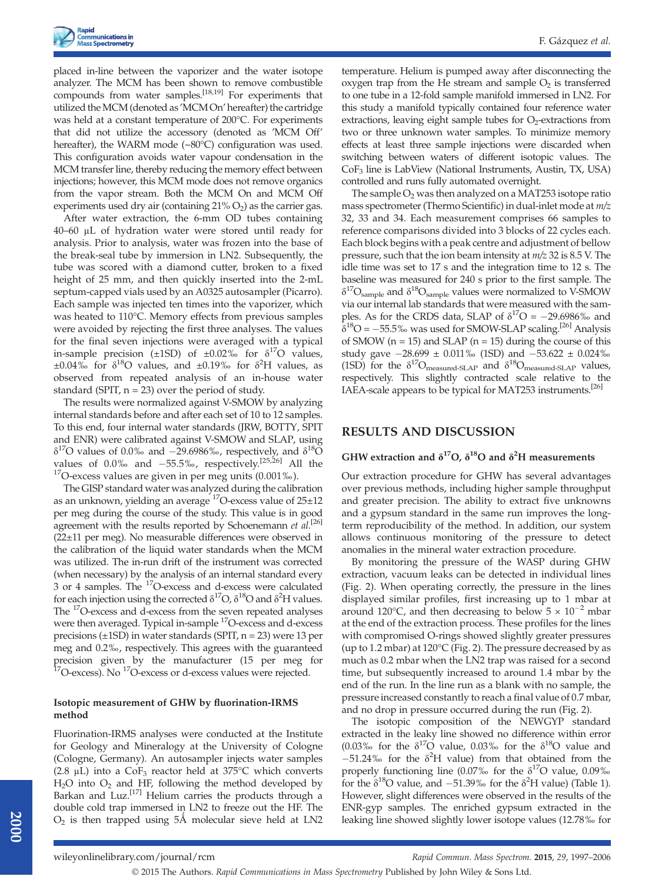placed in-line between the vaporizer and the water isotope analyzer. The MCM has been shown to remove combustible compounds from water samples.[18,19] For experiments that utilized the MCM (denoted as 'MCM On' hereafter) the cartridge was held at a constant temperature of 200°C. For experiments that did not utilize the accessory (denoted as 'MCM Off' hereafter), the WARM mode (~80°C) configuration was used. This configuration avoids water vapour condensation in the MCM transfer line, thereby reducing the memory effect between injections; however, this MCM mode does not remove organics from the vapor stream. Both the MCM On and MCM Off experiments used dry air (containing  $21\% O_2$ ) as the carrier gas.

After water extraction, the 6-mm OD tubes containing 40–60 μL of hydration water were stored until ready for analysis. Prior to analysis, water was frozen into the base of the break-seal tube by immersion in LN2. Subsequently, the tube was scored with a diamond cutter, broken to a fixed height of 25 mm, and then quickly inserted into the 2-mL septum-capped vials used by an A0325 autosampler (Picarro). Each sample was injected ten times into the vaporizer, which was heated to 110°C. Memory effects from previous samples were avoided by rejecting the first three analyses. The values for the final seven injections were averaged with a typical in-sample precision ( $\pm$ 1SD) of  $\pm$ 0.02‰ for  $\delta$ <sup>17</sup>O values,  $\pm 0.04\%$  for  $\delta^{18}$ O values, and  $\pm 0.19\%$  for  $\delta^2$ H values, as observed from repeated analysis of an in-house water standard (SPIT,  $n = 23$ ) over the period of study.

The results were normalized against V-SMOW by analyzing internal standards before and after each set of 10 to 12 samples. To this end, four internal water standards (JRW, BOTTY, SPIT and ENR) were calibrated against V-SMOW and SLAP, using  $\delta^{17}$ O values of 0.0‰ and -29.6986‰, respectively, and  $\delta^{18}$ O values of 0.0‰ and  $-55.5\%$ , respectively.<sup>[25,26]</sup> All the <sup>17</sup>O-excess values are given in per meg units (0.001‰).

The GISP standard water was analyzed during the calibration as an unknown, yielding an average  $17$ O-excess value of  $25\pm12$ per meg during the course of the study. This value is in good agreement with the results reported by Schoenemann  $et$   $al$ .<sup>[26]</sup> (22±11 per meg). No measurable differences were observed in the calibration of the liquid water standards when the MCM was utilized. The in-run drift of the instrument was corrected (when necessary) by the analysis of an internal standard every 3 or 4 samples. The 17O-excess and d-excess were calculated for each injection using the corrected  $\delta^{17}O$ ,  $\delta^{18}O$  and  $\delta^2H$  values. The 17O-excess and d-excess from the seven repeated analyses were then averaged. Typical in-sample <sup>17</sup>O-excess and d-excess precisions  $(\pm 1SD)$  in water standards (SPIT,  $n = 23$ ) were 13 per meg and 0.2‰, respectively. This agrees with the guaranteed precision given by the manufacturer (15 per meg for  $^{17}$ O-excess). No  $^{17}$ O-excess or d-excess values were rejected.

## Isotopic measurement of GHW by fluorination-IRMS method

Fluorination-IRMS analyses were conducted at the Institute for Geology and Mineralogy at the University of Cologne (Cologne, Germany). An autosampler injects water samples (2.8  $\mu$ L) into a CoF<sub>3</sub> reactor held at 375°C which converts  $H<sub>2</sub>O$  into  $O<sub>2</sub>$  and HF, following the method developed by Barkan and Luz.<sup>[17]</sup> Helium carries the products through a double cold trap immersed in LN2 to freeze out the HF. The  $O<sub>2</sub>$  is then trapped using 5Å molecular sieve held at LN2

temperature. Helium is pumped away after disconnecting the oxygen trap from the He stream and sample  $O<sub>2</sub>$  is transferred to one tube in a 12-fold sample manifold immersed in LN2. For this study a manifold typically contained four reference water extractions, leaving eight sample tubes for  $O<sub>2</sub>$ -extractions from two or three unknown water samples. To minimize memory effects at least three sample injections were discarded when switching between waters of different isotopic values. The CoF3 line is LabView (National Instruments, Austin, TX, USA) controlled and runs fully automated overnight.

The sample  $O<sub>2</sub>$  was then analyzed on a MAT253 isotope ratio mass spectrometer (Thermo Scientific) in dual-inlet mode at m/z 32, 33 and 34. Each measurement comprises 66 samples to reference comparisons divided into 3 blocks of 22 cycles each. Each block begins with a peak centre and adjustment of bellow pressure, such that the ion beam intensity at m/z 32 is 8.5 V. The idle time was set to 17 s and the integration time to 12 s. The baseline was measured for 240 s prior to the first sample. The  $\delta^{17}O_{\text{sample}}$  and  $\delta^{18}O_{\text{sample}}$  values were normalized to V-SMOW via our internal lab standards that were measured with the samples. As for the CRDS data, SLAP of  $\delta^{17}O = -29.6986\%$  and  $\hat{\delta}^{18}O = -55.5\%$  was used for SMOW-SLAP scaling.<sup>[26]</sup> Analysis of SMOW ( $n = 15$ ) and SLAP ( $n = 15$ ) during the course of this study gave  $-28.699 \pm 0.011\%$  (1SD) and  $-53.622 \pm 0.024\%$ (1SD) for the  $\delta^{17}O_{\text{measured-SLAP}}$  and  $\delta^{18}O_{\text{measured-SLAP}}$  values, respectively. This slightly contracted scale relative to the IAEA-scale appears to be typical for MAT253 instruments.<sup>[26]</sup>

## RESULTS AND DISCUSSION

## GHW extraction and  $\delta^{17}O$ ,  $\delta^{18}O$  and  $\delta^2H$  measurements

Our extraction procedure for GHW has several advantages over previous methods, including higher sample throughput and greater precision. The ability to extract five unknowns and a gypsum standard in the same run improves the longterm reproducibility of the method. In addition, our system allows continuous monitoring of the pressure to detect anomalies in the mineral water extraction procedure.

By monitoring the pressure of the WASP during GHW extraction, vacuum leaks can be detected in individual lines (Fig. 2). When operating correctly, the pressure in the lines displayed similar profiles, first increasing up to 1 mbar at around 120°C, and then decreasing to below  $5 \times 10^{-2}$  mbar at the end of the extraction process. These profiles for the lines with compromised O-rings showed slightly greater pressures (up to 1.2 mbar) at 120°C (Fig. 2). The pressure decreased by as much as 0.2 mbar when the LN2 trap was raised for a second time, but subsequently increased to around 1.4 mbar by the end of the run. In the line run as a blank with no sample, the pressure increased constantly to reach a final value of 0.7 mbar, and no drop in pressure occurred during the run (Fig. 2).

The isotopic composition of the NEWGYP standard extracted in the leaky line showed no difference within error (0.03‰ for the  $\delta^{17}O$  value, 0.03‰ for the  $\delta^{18}O$  value and  $-51.24\%$  for the  $\delta^2$ H value) from that obtained from the properly functioning line (0.07‰ for the  $\delta^{17}O$  value, 0.09‰ for the  $\delta^{18}$ O value, and -51.39‰ for the  $\delta^2$ H value) (Table 1). However, slight differences were observed in the results of the ENR-gyp samples. The enriched gypsum extracted in the leaking line showed slightly lower isotope values (12.78‰ for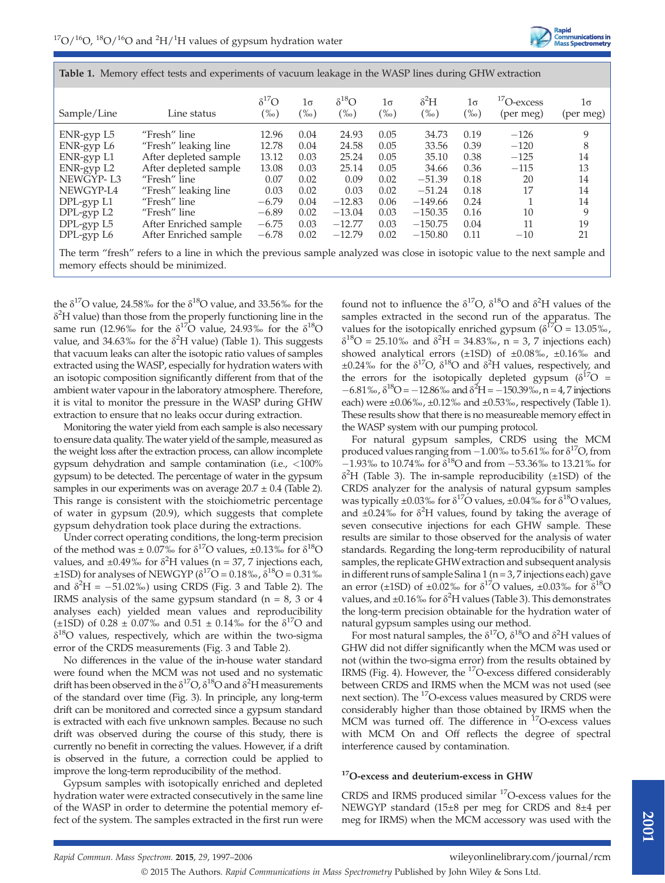

| Sample/Line | Line status                                                                                                                | $\delta^{17}O$<br>$(\%0)$ | 1σ<br>$(\%circ)$ | $\delta^{18}O$<br>$(\%circ)$ | $1\sigma$<br>$(\%0)$ | $\delta^2 H$<br>$(\%0)$ | $1\sigma$<br>$(\%)_0$ | $\rm ^{17}O$ -excess<br>(per meg) | 1σ<br>(per meg) |
|-------------|----------------------------------------------------------------------------------------------------------------------------|---------------------------|------------------|------------------------------|----------------------|-------------------------|-----------------------|-----------------------------------|-----------------|
| ENR-gyp L5  | "Fresh" line                                                                                                               | 12.96                     | 0.04             | 24.93                        | 0.05                 | 34.73                   | 0.19                  | $-126$                            | 9               |
| ENR-gyp L6  | "Fresh" leaking line                                                                                                       | 12.78                     | 0.04             | 24.58                        | 0.05                 | 33.56                   | 0.39                  | $-120$                            | 8               |
| ENR-gyp L1  | After depleted sample                                                                                                      | 13.12                     | 0.03             | 25.24                        | 0.05                 | 35.10                   | 0.38                  | $-125$                            | 14              |
| ENR-gyp L2  | After depleted sample                                                                                                      | 13.08                     | 0.03             | 25.14                        | 0.05                 | 34.66                   | 0.36                  | $-115$                            | 13              |
| NEWGYP-L3   | "Fresh" line                                                                                                               | 0.07                      | 0.02             | 0.09                         | 0.02                 | $-51.39$                | 0.18                  | 20                                | 14              |
| NEWGYP-L4   | "Fresh" leaking line                                                                                                       | 0.03                      | 0.02             | 0.03                         | 0.02                 | $-51.24$                | 0.18                  | 17                                | 14              |
| DPL-gyp L1  | "Fresh" line                                                                                                               | $-6.79$                   | 0.04             | $-12.83$                     | 0.06                 | $-149.66$               | 0.24                  |                                   | 14              |
| DPL-gyp L2  | "Fresh" line                                                                                                               | $-6.89$                   | 0.02             | $-13.04$                     | 0.03                 | $-150.35$               | 0.16                  | 10                                | 9               |
| DPL-gyp L5  | After Enriched sample                                                                                                      | $-6.75$                   | 0.03             | $-12.77$                     | 0.03                 | $-150.75$               | 0.04                  | 11                                | 19              |
| DPL-gyp L6  | After Enriched sample                                                                                                      | $-6.78$                   | 0.02             | $-12.79$                     | 0.02                 | $-150.80$               | 0.11                  | $-10$                             | 21              |
|             | The term "fresh" refers to a line in which the previous sample analyzed was close in isotopic value to the next sample and |                           |                  |                              |                      |                         |                       |                                   |                 |

Table 1. Memory effect tests and experiments of vacuum leakage in the WASP lines during GHW extraction

memory effects should be minimized.

the  $\delta^{17}$ O value, 24.58‰ for the  $\delta^{18}$ O value, and 33.56‰ for the  $\delta^2$ H value) than those from the properly functioning line in the same run (12.96‰ for the  $\delta^{17}O$  value, 24.93‰ for the  $\delta^{18}O$ value, and 34.63% for the  $\delta^2$ H value) (Table 1). This suggests that vacuum leaks can alter the isotopic ratio values of samples extracted using the WASP, especially for hydration waters with an isotopic composition significantly different from that of the ambient water vapour in the laboratory atmosphere. Therefore, it is vital to monitor the pressure in the WASP during GHW extraction to ensure that no leaks occur during extraction.

Monitoring the water yield from each sample is also necessary to ensure data quality. The water yield of the sample, measured as the weight loss after the extraction process, can allow incomplete gypsum dehydration and sample contamination (i.e., <100% gypsum) to be detected. The percentage of water in the gypsum samples in our experiments was on average  $20.7 \pm 0.4$  (Table 2). This range is consistent with the stoichiometric percentage of water in gypsum (20.9), which suggests that complete gypsum dehydration took place during the extractions.

Under correct operating conditions, the long-term precision of the method was  $\pm$  0.07% for  $\delta^{17}$ O values,  $\pm$ 0.13% for  $\delta^{18}$ O values, and  $\pm 0.49\%$  for  $\delta^2$ H values (n = 37, 7 injections each,  $\pm$ 1SD) for analyses of NEWGYP ( $\delta^{17}O = 0.18\%$ ,  $\delta^{18}O = 0.31\%$ and  $\delta^2$ H =  $-51.02\%$ ) using CRDS (Fig. 3 and Table 2). The IRMS analysis of the same gypsum standard ( $n = 8$ , 3 or 4 analyses each) yielded mean values and reproducibility ( $\pm$ 1SD) of 0.28  $\pm$  0.07‰ and 0.51  $\pm$  0.14‰ for the  $\delta$ <sup>17</sup>O and  $\delta^{18}$ O values, respectively, which are within the two-sigma error of the CRDS measurements (Fig. 3 and Table 2).

No differences in the value of the in-house water standard were found when the MCM was not used and no systematic drift has been observed in the  $\delta^{17}O$ ,  $\delta^{18}O$  and  $\delta^2H$  measurements of the standard over time (Fig. 3). In principle, any long-term drift can be monitored and corrected since a gypsum standard is extracted with each five unknown samples. Because no such drift was observed during the course of this study, there is currently no benefit in correcting the values. However, if a drift is observed in the future, a correction could be applied to improve the long-term reproducibility of the method.

Gypsum samples with isotopically enriched and depleted hydration water were extracted consecutively in the same line of the WASP in order to determine the potential memory effect of the system. The samples extracted in the first run were

found not to influence the  $\delta^{17}O$ ,  $\delta^{18}O$  and  $\delta^2H$  values of the samples extracted in the second run of the apparatus. The values for the isotopically enriched gypsum ( $\delta^{17}O = 13.05\%$ ,  $δ<sup>18</sup>O = 25.10%$  and  $δ<sup>2</sup>H = 34.83%$ , n = 3, 7 injections each) showed analytical errors (±1SD) of ±0.08‰, ±0.16‰ and  $\pm 0.24\%$  for the  $\delta^{17}O$ ,  $\delta^{18}O$  and  $\delta^2H$  values, respectively, and the errors for the isotopically depleted gypsum ( $\delta^{17}O$  =  $-6.81\%$ ,  $\delta^{18}O = -12.86\%$  and  $\delta^{2}H = -150.39\%$ , n = 4, 7 injections each) were  $\pm 0.06\%$ ,  $\pm 0.12\%$  and  $\pm 0.53\%$ , respectively (Table 1). These results show that there is no measureable memory effect in the WASP system with our pumping protocol.

For natural gypsum samples, CRDS using the MCM produced values ranging from  $-1.00\%$  to 5.61% for  $\delta^{17}O$ , from  $-1.93\%$  to 10.74‰ for  $\delta^{18}$ O and from  $-53.36\%$  to 13.21‰ for  $\delta^2$ H (Table 3). The in-sample reproducibility (±1SD) of the CRDS analyzer for the analysis of natural gypsum samples was typically  $\pm 0.03\%$  for  $\delta^{17}O$  values,  $\pm 0.04\%$  for  $\delta^{18}O$  values, and  $\pm 0.24\%$  for  $\delta^2$ H values, found by taking the average of seven consecutive injections for each GHW sample. These results are similar to those observed for the analysis of water standards. Regarding the long-term reproducibility of natural samples, the replicate GHWextraction and subsequent analysis in different runs of sample Salina 1 ( $n = 3$ , 7 injections each) gave an error (±1SD) of ±0.02‰ for  $\delta^{17}$ O values, ±0.03‰ for  $\delta^{18}$ O values, and  $\pm 0.16\%$  for  $\delta^2$ H values (Table 3). This demonstrates the long-term precision obtainable for the hydration water of natural gypsum samples using our method.

For most natural samples, the  $\delta^{17}O$ ,  $\delta^{18}O$  and  $\delta^2H$  values of GHW did not differ significantly when the MCM was used or not (within the two-sigma error) from the results obtained by IRMS (Fig. 4). However, the <sup>17</sup>O-excess differed considerably between CRDS and IRMS when the MCM was not used (see next section). The <sup>17</sup>O-excess values measured by CRDS were considerably higher than those obtained by IRMS when the MCM was turned off. The difference in <sup>17</sup>O-excess values with MCM On and Off reflects the degree of spectral interference caused by contamination.

## <sup>17</sup>O-excess and deuterium-excess in GHW

CRDS and IRMS produced similar 17O-excess values for the NEWGYP standard (15±8 per meg for CRDS and 8±4 per meg for IRMS) when the MCM accessory was used with the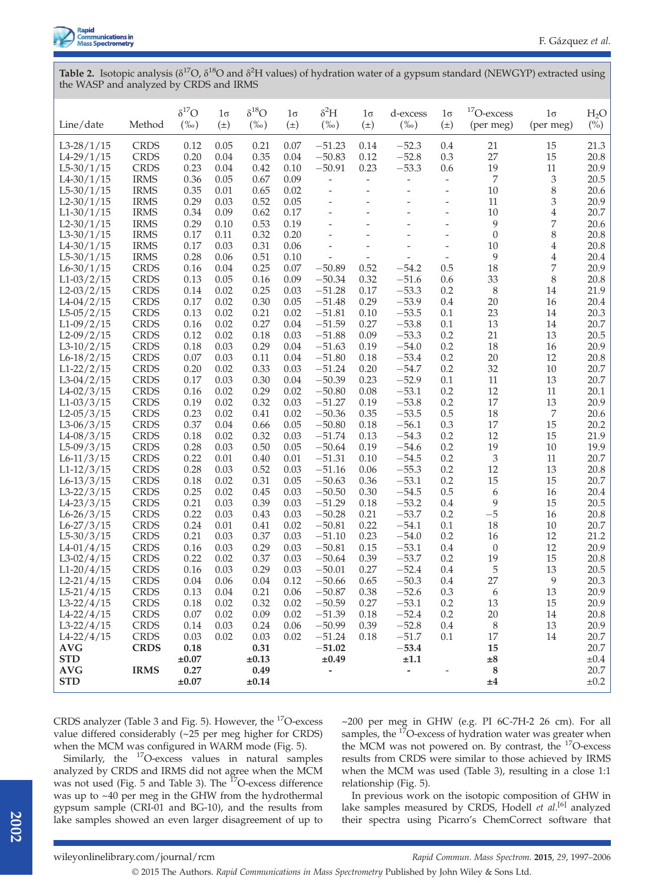

Table 2. Isotopic analysis ( $\delta^{17}O$ ,  $\delta^{18}O$  and  $\delta^2H$  values) of hydration water of a gypsum standard (NEWGYP) extracted using the WASP and analyzed by CRDS and IRMS

| Line/date                      | Method                     | $\delta^{17}O$<br>$(\%0)$ | $1\sigma$<br>$(\pm)$ | $\delta^{18}O$<br>$(\%0)$ | $1\sigma$<br>$(\pm)$ | $\delta^2 H$<br>$(\%0)$  | $1\sigma$<br>$(\pm)$     | d-excess<br>$(\%0)$ | $1\sigma$<br>$(\pm)$     | $17$ O-excess<br>(per meg) | $1\sigma$<br>(per meg)  | H <sub>2</sub> O<br>$\binom{0}{0}$ |
|--------------------------------|----------------------------|---------------------------|----------------------|---------------------------|----------------------|--------------------------|--------------------------|---------------------|--------------------------|----------------------------|-------------------------|------------------------------------|
| $L3-28/1/15$                   | <b>CRDS</b>                | 0.12                      | 0.05                 | 0.21                      | 0.07                 | $-51.23$                 | 0.14                     | $-52.3$             | 0.4                      | 21                         | 15                      | 21.3                               |
| $L4-29/1/15$                   | <b>CRDS</b>                | 0.20                      | 0.04                 | 0.35                      | 0.04                 | $-50.83$                 | 0.12                     | $-52.8$             | 0.3                      | 27                         | 15                      | 20.8                               |
| $L5-30/1/15$                   | <b>CRDS</b>                | 0.23                      | 0.04                 | 0.42                      | 0.10                 | $-50.91$                 | 0.23                     | $-53.3$             | 0.6                      | 19                         | 11                      | 20.9                               |
| $L4 - 30/1/15$                 | <b>IRMS</b>                | 0.36                      | 0.05                 | 0.67                      | 0.09                 | $\overline{\phantom{a}}$ | $\overline{\phantom{a}}$ | $\overline{a}$      | $\overline{\phantom{a}}$ | 7                          | 3                       | 20.5                               |
| $L5-30/1/15$                   | <b>IRMS</b>                | 0.35                      | 0.01                 | 0.65                      | 0.02                 | $\overline{\phantom{a}}$ | $\overline{a}$           | $\overline{a}$      | $\overline{\phantom{a}}$ | 10                         | 8                       | 20.6                               |
| $L2 - 30/1/15$                 | <b>IRMS</b>                | 0.29                      | 0.03                 | 0.52                      | 0.05                 | $\overline{\phantom{a}}$ | ÷,                       | $\overline{a}$      | $\overline{\phantom{a}}$ | 11                         | 3                       | 20.9                               |
| $L1-30/1/15$                   | <b>IRMS</b>                | 0.34                      | 0.09                 | 0.62                      | 0.17                 | -                        |                          |                     | $\overline{\phantom{m}}$ | 10                         | $\overline{4}$          | 20.7                               |
| $L2 - 30/1/15$                 | <b>IRMS</b>                | 0.29                      | 0.10                 | 0.53                      | 0.19                 | $\frac{1}{2}$            | ÷,                       | L,                  | $\overline{\phantom{a}}$ | 9                          | 7                       | 20.6                               |
| $L3-30/1/15$                   | <b>IRMS</b>                | 0.17                      | 0.11                 | 0.32                      | 0.20                 | -                        | ÷,                       | Ξ                   | $\overline{\phantom{a}}$ | $\mathbf{0}$               | 8                       | 20.8                               |
| $L4 - 30/1/15$                 | <b>IRMS</b>                | 0.17                      | 0.03                 | 0.31                      | 0.06                 | -                        | $\overline{a}$           |                     | $\overline{\phantom{a}}$ | 10                         | $\overline{\mathbf{4}}$ | 20.8                               |
| $L5-30/1/15$                   | <b>IRMS</b>                | 0.28                      | 0.06                 | 0.51                      | 0.10                 | $\overline{a}$           | $\frac{1}{2}$            | L.                  | $\overline{\phantom{a}}$ | 9                          | $\overline{4}$          | 20.4                               |
| $L6 - 30/1/15$                 | <b>CRDS</b>                | 0.16                      | 0.04                 | 0.25                      | 0.07                 | $-50.89$                 | 0.52                     | $-54.2$             | 0.5                      | 18                         | 7                       | 20.9                               |
| $L1-03/2/15$                   | <b>CRDS</b>                | 0.13                      | 0.05                 | 0.16                      | 0.09                 | $-50.34$                 | 0.32                     | $-51.6$             | 0.6                      | 33                         | 8                       | 20.8                               |
| $L2-03/2/15$                   | <b>CRDS</b><br><b>CRDS</b> | 0.14<br>0.17              | 0.02<br>0.02         | 0.25<br>0.30              | 0.03                 | $-51.28$<br>$-51.48$     | 0.17                     | $-53.3$<br>$-53.9$  | 0.2<br>0.4               | 8<br>20                    | 14                      | 21.9                               |
| $L4-04/2/15$<br>$L5-05/2/15$   | <b>CRDS</b>                | 0.13                      | 0.02                 | 0.21                      | 0.05<br>0.02         | $-51.81$                 | 0.29<br>0.10             | $-53.5$             | 0.1                      | 23                         | 16<br>14                | 20.4<br>20.3                       |
| $L1-09/2/15$                   | <b>CRDS</b>                | 0.16                      | 0.02                 | 0.27                      | 0.04                 | $-51.59$                 | 0.27                     | $-53.8$             | 0.1                      | 13                         | 14                      | 20.7                               |
| $L2-09/2/15$                   | <b>CRDS</b>                | 0.12                      | 0.02                 | 0.18                      | 0.03                 | $-51.88$                 | 0.09                     | $-53.3$             | 0.2                      | 21                         | 13                      | 20.5                               |
| $L3-10/2/15$                   | <b>CRDS</b>                | 0.18                      | 0.03                 | 0.29                      | 0.04                 | $-51.63$                 | 0.19                     | $-54.0$             | 0.2                      | 18                         | 16                      | 20.9                               |
| $L6-18/2/15$                   | <b>CRDS</b>                | 0.07                      | 0.03                 | 0.11                      | 0.04                 | $-51.80$                 | 0.18                     | $-53.4$             | 0.2                      | 20                         | 12                      | 20.8                               |
| $L1-22/2/15$                   | <b>CRDS</b>                | 0.20                      | 0.02                 | 0.33                      | 0.03                 | $-51.24$                 | 0.20                     | $-54.7$             | 0.2                      | 32                         | 10                      | 20.7                               |
| $L3-04/2/15$                   | <b>CRDS</b>                | 0.17                      | 0.03                 | 0.30                      | 0.04                 | $-50.39$                 | 0.23                     | $-52.9$             | 0.1                      | 11                         | 13                      | 20.7                               |
| $L4-02/3/15$                   | <b>CRDS</b>                | 0.16                      | 0.02                 | 0.29                      | 0.02                 | $-50.80$                 | 0.08                     | $-53.1$             | 0.2                      | 12                         | 11                      | 20.1                               |
| $L1-03/3/15$                   | <b>CRDS</b>                | 0.19                      | 0.02                 | 0.32                      | 0.03                 | $-51.27$                 | 0.19                     | $-53.8$             | 0.2                      | 17                         | 13                      | 20.9                               |
| $L2 - 05/3/15$                 | <b>CRDS</b>                | 0.23                      | 0.02                 | 0.41                      | 0.02                 | $-50.36$                 | 0.35                     | $-53.5$             | 0.5                      | 18                         | 7                       | 20.6                               |
| $L3-06/3/15$                   | <b>CRDS</b>                | 0.37                      | 0.04                 | 0.66                      | 0.05                 | $-50.80$                 | 0.18                     | $-56.1$             | 0.3                      | 17                         | 15                      | 20.2                               |
| $L4 - 08/3/15$                 | <b>CRDS</b>                | 0.18                      | 0.02                 | 0.32                      | 0.03                 | $-51.74$                 | 0.13                     | $-54.3$             | 0.2                      | 12                         | 15                      | 21.9                               |
| $L5-09/3/15$                   | <b>CRDS</b>                | 0.28                      | 0.03                 | 0.50                      | 0.05                 | $-50.64$                 | 0.19                     | $-54.6$             | 0.2                      | 19                         | 10                      | 19.9                               |
| $L6-11/3/15$                   | <b>CRDS</b>                | 0.22                      | 0.01                 | 0.40                      | 0.01                 | $-51.31$                 | 0.10                     | $-54.5$             | 0.2                      | $\mathfrak z$              | 11                      | 20.7                               |
| $L1-12/3/15$                   | <b>CRDS</b>                | 0.28                      | 0.03                 | 0.52                      | 0.03                 | $-51.16$                 | 0.06                     | $-55.3$             | 0.2                      | 12                         | 13                      | 20.8                               |
| $L6-13/3/15$                   | <b>CRDS</b>                | 0.18                      | 0.02                 | 0.31                      | 0.05                 | $-50.63$                 | 0.36                     | $-53.1$             | 0.2                      | 15                         | 15                      | 20.7                               |
| $L3-22/3/15$                   | <b>CRDS</b>                | 0.25                      | 0.02                 | 0.45                      | 0.03                 | $-50.50$                 | 0.30                     | $-54.5$             | 0.5                      | 6                          | 16                      | 20.4                               |
| $L4 - 23/3/15$                 | <b>CRDS</b>                | 0.21                      | 0.03                 | 0.39                      | 0.03                 | $-51.29$                 | 0.18                     | $-53.2$             | 0.4                      | 9                          | 15                      | 20.5                               |
| $L6 - 26/3/15$<br>$L6-27/3/15$ | <b>CRDS</b><br><b>CRDS</b> | 0.22<br>0.24              | 0.03<br>0.01         | 0.43<br>0.41              | 0.03<br>0.02         | $-50.28$<br>$-50.81$     | 0.21<br>0.22             | $-53.7$<br>$-54.1$  | 0.2<br>0.1               | $-5$<br>18                 | 16<br>10                | 20.8<br>20.7                       |
| $L5 - 30/3/15$                 | <b>CRDS</b>                | 0.21                      | 0.03                 | 0.37                      | 0.03                 | $-51.10$                 | 0.23                     | $-54.0$             | 0.2                      | 16                         | 12                      | 21.2                               |
| $L4-01/4/15$                   | <b>CRDS</b>                | 0.16                      | 0.03                 | 0.29                      | 0.03                 | $-50.81$                 | 0.15                     | $-53.1$             | 0.4                      | $\theta$                   | 12                      | 20.9                               |
| $L3-02/4/15$                   | <b>CRDS</b>                | 0.22                      | 0.02                 | 0.37                      | 0.03                 | $-50.64$                 | 0.39                     | $-53.7$             | 0.2                      | 19                         | 15                      | 20.8                               |
| $L1-20/4/15$                   | <b>CRDS</b>                | 0.16                      | 0.03                 | 0.29                      | 0.03                 | $-50.01$                 | 0.27                     | $-52.4$             | 0.4                      | 5                          | 13                      | 20.5                               |
| $L2-21/4/15$                   | <b>CRDS</b>                | 0.04                      | 0.06                 | 0.04                      | 0.12                 | $-50.66$                 | 0.65                     | $-50.3$             | 0.4                      | 27                         | 9                       | 20.3                               |
| $L5-21/4/15$                   | <b>CRDS</b>                | 0.13                      | 0.04                 | 0.21                      | 0.06                 | $-50.87$                 | 0.38                     | $-52.6$             | 0.3                      | 6                          | 13                      | 20.9                               |
| $L3-22/4/15$                   | <b>CRDS</b>                | 0.18                      | 0.02                 | 0.32                      | 0.02                 | $-50.59$                 | 0.27                     | $-53.1$             | 0.2                      | 13                         | 15                      | 20.9                               |
| $L4-22/4/15$                   | <b>CRDS</b>                | 0.07                      | 0.02                 | 0.09                      | 0.02                 | $-51.39$                 | 0.18                     | $-52.4$             | $0.2\,$                  | 20                         | $14\,$                  | 20.8                               |
| $L3-22/4/15$                   | <b>CRDS</b>                | 0.14                      | 0.03                 | 0.24                      | 0.06                 | $-50.99$                 | 0.39                     | $-52.8$             | 0.4                      | $\,8\,$                    | 13                      | 20.9                               |
| $L4-22/4/15$                   | <b>CRDS</b>                | 0.03                      | 0.02                 | 0.03                      | 0.02                 | $-51.24$                 | 0.18                     | $-51.7$             | 0.1                      | 17                         | 14                      | 20.7                               |
| $\mathbf{AVG}$                 | <b>CRDS</b>                | 0.18                      |                      | 0.31                      |                      | $-51.02$                 |                          | $-53.4$             |                          | 15                         |                         | 20.7                               |
| <b>STD</b>                     |                            | $\pm 0.07$                |                      | $\pm 0.13$                |                      | $\pm 0.49$               |                          | $\pm 1.1$           |                          | $\pm 8$                    |                         | $\pm 0.4$                          |
| <b>AVG</b>                     | <b>IRMS</b>                | 0.27                      |                      | 0.49                      |                      | -                        |                          | -                   | $\overline{\phantom{a}}$ | 8                          |                         | 20.7                               |
| <b>STD</b>                     |                            | $\pm 0.07$                |                      | $\pm 0.14$                |                      |                          |                          |                     |                          | ±4                         |                         | $\pm 0.2$                          |

CRDS analyzer (Table 3 and Fig. 5). However, the 17O-excess value differed considerably (~25 per meg higher for CRDS) when the MCM was configured in WARM mode (Fig. 5).

Similarly, the <sup>17</sup>O-excess values in natural samples analyzed by CRDS and IRMS did not agree when the MCM was not used (Fig. 5 and Table 3). The <sup>17</sup>O-excess difference was up to ~40 per meg in the GHW from the hydrothermal gypsum sample (CRI-01 and BG-10), and the results from lake samples showed an even larger disagreement of up to  $\sim$ 200 per meg in GHW (e.g. PI 6C-7H-2 26 cm). For all samples, the <sup>17</sup>O-excess of hydration water was greater when the MCM was not powered on. By contrast, the 17O-excess results from CRDS were similar to those achieved by IRMS when the MCM was used (Table 3), resulting in a close 1:1 relationship (Fig. 5).

In previous work on the isotopic composition of GHW in lake samples measured by CRDS, Hodell et al.<sup>[6]</sup> analyzed their spectra using Picarro's ChemCorrect software that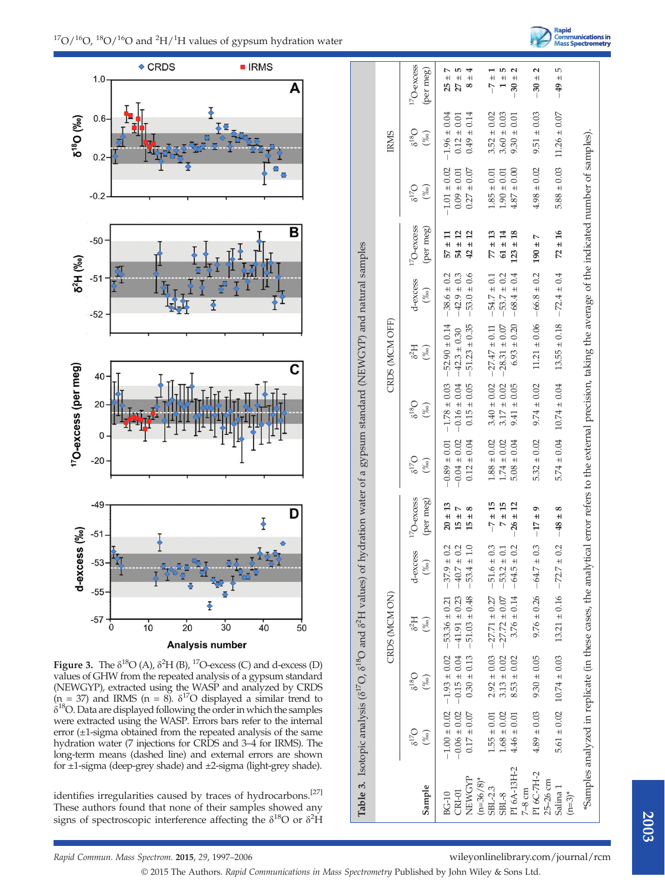Rapid<br>Communications in<br>Mass Spectrometry





Figure 3. The  $\delta^{18}O$  (A),  $\delta^2H$  (B),  $^{17}O$ -excess (C) and d-excess (D) values of GHW from the repeated analysis of a gypsum standard (NEWGYP), extracted using the WASP and analyzed by CRDS  $(n = 37)$  and IRMS  $(n = 8)$ .  $\delta^{17}O$  displayed a similar trend to  $\delta^{18}$ O. Data are displayed following the order in which the samples were extracted using the WASP. Errors bars refer to the internal error (±1-sigma obtained from the repeated analysis of the same hydration water (7 injections for CRDS and 3–4 for IRMS). The long-term means (dashed line) and external errors are shown for ±1-sigma (deep-grey shade) and ±2-sigma (light-grey shade).

identifies irregularities caused by traces of hydrocarbons.<sup>[27]</sup> These authors found that none of their samples showed any signs of spectroscopic interference affecting the  $\delta^{18}O$  or  $\delta^2H$ 

|                                   |                      |                                  | CRDS (MCM ON)                                                                                                                                                  |                    |                                 |                              |                     | CRDS (MCM OFF)                       |                    |                                 |                                 | <b>IRMS</b>               |                                 |
|-----------------------------------|----------------------|----------------------------------|----------------------------------------------------------------------------------------------------------------------------------------------------------------|--------------------|---------------------------------|------------------------------|---------------------|--------------------------------------|--------------------|---------------------------------|---------------------------------|---------------------------|---------------------------------|
| Sample                            | $6^{17}$ O<br>$(\%)$ | $O_{815}$<br>$(\%)$              | 6 <sup>2</sup> H<br>$(\frac{60}{60})$                                                                                                                          | d-excess<br>$(\%)$ | ${}^{17}O$ -excess<br>(per meg) | $O_{\mathcal{L}1}$<br>$(\%)$ | $O_{815}$<br>$(\%)$ | 6 <sup>2</sup> H<br>$(\frac{0}{00})$ | d-excess<br>$(\%)$ | ${}^{17}O$ -excess<br>(per meg) | $6^{17}$ O<br>$(\frac{\%}{\%})$ | $\delta^{18}$ O<br>$(\%)$ | ${}^{17}O$ -excess<br>(per meg) |
| <b>BG-10</b>                      |                      |                                  | $-1.00 \pm 0.02$ $-1.93 \pm 0.02$ $-53.36 \pm 0.21$ $-37.9 \pm 0.01$                                                                                           | 0.2                | $20 \pm 13$                     | $-0.89 \pm 0.01$             | $-1.78 \pm 0.03$    | $-52.90 \pm 0.14$                    | $-38.6 \pm 0.2$    | $57 \pm 11$                     | $-1.01 \pm 0.02$                | $-1.96 \pm 0.04$          | $25 \pm$                        |
| $CRI-01$                          |                      |                                  | $-0.06 \pm 0.02$ $-0.15 \pm 0.04$ $-41.91 \pm 0.23$ $-40.7 \pm 0.02$                                                                                           | 0.2                | $15 \pm 7$                      | $-0.04 \pm 0.02$             | $-0.16 \pm 0.04$    | $-42.3 \pm 0.30$                     | $-42.9 \pm 0.3$    | $\overline{12}$<br>$54 \pm$     | $0.09 \pm 0.01$                 | $0.12 \pm 0.01$           | 5<br>$27 \pm$                   |
| NEWGYP<br>$(n=36/8)^*$            | $0.17 \pm 0.07$      |                                  | $0.30 \pm 0.13$ - 51.03 $\pm 0.48$ - 53.4 $\pm$                                                                                                                |                    | ∞<br>$\ddot{}$<br>15            | $0.12 \pm 0.04$              | $0.15 \pm 0.05$     | $-51.23 \pm 0.35$                    | $-53.0 \pm 0.6$    | $42 \pm 12$                     | $0.27 \pm 0.07$                 | $0.49 \pm 0.14$           | 4<br>$+$<br>∞                   |
| SBL-2.3                           | $1.55 \pm 0.01$      |                                  | $2.92 \pm 0.03$ $-27.71 \pm 0.27$ $-51.6 \pm$                                                                                                                  | 0.3                | $-7 \pm 15$                     | $1.88 \pm 0.02$              | $3.40 \pm 0.02$     | $-27.47 \pm 0.11$                    | $-54.7 \pm 0.1$    | $77 \pm 13$                     | $1.85 \pm 0.01$                 | $3.52 \pm 0.02$           | $-7 \pm 1$                      |
| $SBL-8$                           | $1.68 \pm 0.02$      | $3.13 \pm 0.02$                  | $-27.72 \pm 0.07$                                                                                                                                              | 0.1<br>$-53.2 +$   | $7 \pm 15$                      | $1.74 \pm 0.02$              | $3.17 \pm 0.02$     | $-28.31 \pm 0.07$                    | $-53.7 \pm 0.2$    | $61 \pm 14$                     | $1.90 \pm 0.01$                 | $3.60 \pm 0.03$           | 5<br>$\frac{+}{-}$              |
| PI 6A-13H-2<br>$7-8$ cm           | $4.46 \pm 0.01$      | $8.53 \pm 0.02$                  | $3.76 \pm 0.14$                                                                                                                                                | 0.2<br>$-64.5 +$   | $-26 \pm 12$                    | $5.08 \pm 0.04$              | $9.41 \pm 0.05$     | $6.93 \pm 0.20$                      | $-68.4 \pm 0.4$    | $123 \pm 18$                    | $4.87 \pm 0.00$                 | $9.30 \pm 0.01$           | Ν<br>$-30 +$                    |
| PI 6C-7H-2                        | $4.89 \pm 0.03$      | $9.30 \pm 0.05$                  | $9.76 \pm 0.26 - 64.7 \pm$                                                                                                                                     | 0.3                | $-17 = 9$                       | $5.32 \pm 0.02$              | $9.74 \pm 0.02$     | $11.21 \pm 0.06$                     | $-66.8 \pm 0.2$    | Ņ<br>$190 \pm$                  | $4.98 \pm 0.02$                 | $9.51 \pm 0.03$           | 2<br>$-30 \pm$                  |
| 25-26 cm<br>Salina 1<br>$(n=3)^*$ |                      | $5.61 \pm 0.02$ $10.74 \pm 0.03$ | $13.21 \pm 0.16$ -72.7 ±                                                                                                                                       | 0.2                | $-48 \pm 8$                     | $5.74 \pm 0.04$              | $10.74 \pm 0.04$    | $13.55 \pm 0.18$                     | $-72.4 \pm 0.4$    | $72 \pm 16$                     | $5.88 \pm 0.03$                 | $11.26 \pm 0.07$          | 5<br>$-49 +$                    |
|                                   |                      |                                  | "Samples analyzed in replicate (in these cases, the analytical error refers to the external precision, taking the average of the indicated number of samples). |                    |                                 |                              |                     |                                      |                    |                                 |                                 |                           |                                 |
|                                   |                      |                                  |                                                                                                                                                                |                    |                                 |                              |                     |                                      |                    |                                 |                                 |                           |                                 |

© 2015 The Authors. Rapid Communications in Mass Spectrometry Published by John Wiley & Sons Ltd.

 $-2-$ 

 $.17 - .18$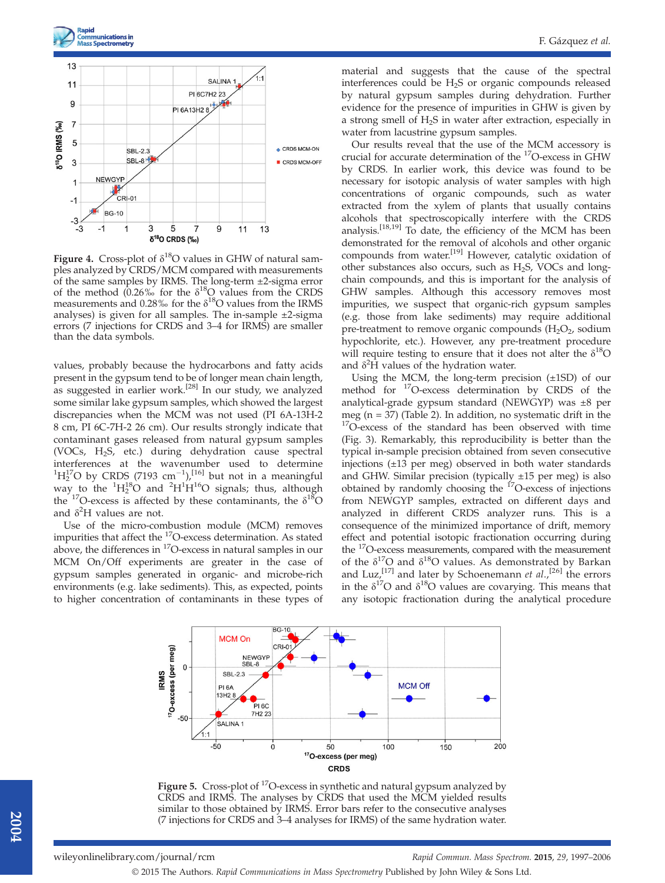



**Figure 4.** Cross-plot of  $\delta^{18}O$  values in GHW of natural samples analyzed by CRDS/MCM compared with measurements of the same samples by IRMS. The long-term ±2-sigma error of the method  $(0.26\% \text{ for the } \delta^{18}\text{O} \text{ values from the CRDS})$ measurements and 0.28‰ for the  $\delta^{18}O$  values from the IRMS analyses) is given for all samples. The in-sample ±2-sigma errors (7 injections for CRDS and 3–4 for IRMS) are smaller than the data symbols.

values, probably because the hydrocarbons and fatty acids present in the gypsum tend to be of longer mean chain length, as suggested in earlier work.<sup>[28]</sup> In our study, we analyzed some similar lake gypsum samples, which showed the largest discrepancies when the MCM was not used (PI 6A-13H-2 8 cm, PI 6C-7H-2 26 cm). Our results strongly indicate that contaminant gases released from natural gypsum samples (VOCs, H2S, etc.) during dehydration cause spectral interferences at the wavenumber used to determine  ${}^{1}H_{2}^{17}O$  by CRDS (7193 cm<sup>-1</sup>),<sup>[16]</sup> but not in a meaningful way to the  ${}^{1}H_{2}^{18}O$  and  ${}^{2}H^{1}H^{16}O$  signals; thus, although the  $17$ O-excess is affected by these contaminants, the  $\delta^{18}$ O and  $\delta^2$ H values are not.

Use of the micro-combustion module (MCM) removes impurities that affect the 17O-excess determination. As stated above, the differences in 17O-excess in natural samples in our MCM On/Off experiments are greater in the case of gypsum samples generated in organic- and microbe-rich environments (e.g. lake sediments). This, as expected, points to higher concentration of contaminants in these types of material and suggests that the cause of the spectral interferences could be H2S or organic compounds released by natural gypsum samples during dehydration. Further evidence for the presence of impurities in GHW is given by a strong smell of  $H_2S$  in water after extraction, especially in water from lacustrine gypsum samples.

Our results reveal that the use of the MCM accessory is crucial for accurate determination of the 17O-excess in GHW by CRDS. In earlier work, this device was found to be necessary for isotopic analysis of water samples with high concentrations of organic compounds, such as water extracted from the xylem of plants that usually contains alcohols that spectroscopically interfere with the CRDS analysis.[18,19] To date, the efficiency of the MCM has been demonstrated for the removal of alcohols and other organic compounds from water.[19] However, catalytic oxidation of other substances also occurs, such as H2S, VOCs and longchain compounds, and this is important for the analysis of GHW samples. Although this accessory removes most impurities, we suspect that organic-rich gypsum samples (e.g. those from lake sediments) may require additional pre-treatment to remove organic compounds  $(H_2O_2, \text{ sodium})$ hypochlorite, etc.). However, any pre-treatment procedure will require testing to ensure that it does not alter the  $\delta^{18}O$ and  $\delta^2 \hat{H}$  values of the hydration water.

Using the MCM, the long-term precision  $(\pm 1SD)$  of our method for 17O-excess determination by CRDS of the analytical-grade gypsum standard (NEWGYP) was ±8 per meg ( $n = 37$ ) (Table 2). In addition, no systematic drift in the  $17$ O-excess of the standard has been observed with time (Fig. 3). Remarkably, this reproducibility is better than the typical in-sample precision obtained from seven consecutive injections (±13 per meg) observed in both water standards and GHW. Similar precision (typically  $\pm 15$  per meg) is also obtained by randomly choosing the  $^{17}$ O-excess of injections from NEWGYP samples, extracted on different days and analyzed in different CRDS analyzer runs. This is a consequence of the minimized importance of drift, memory effect and potential isotopic fractionation occurring during the <sup>17</sup>O-excess measurements, compared with the measurement of the  $\delta^{17}O$  and  $\delta^{18}O$  values. As demonstrated by Barkan and Luz,<sup>[17]</sup> and later by Schoenemann et  $al.$ ,<sup>[26]</sup> the errors in the  $\delta^{17}O$  and  $\delta^{18}O$  values are covarying. This means that any isotopic fractionation during the analytical procedure



Figure 5. Cross-plot of <sup>17</sup>O-excess in synthetic and natural gypsum analyzed by CRDS and IRMS. The analyses by CRDS that used the MCM yielded results similar to those obtained by IRMS. Error bars refer to the consecutive analyses (7 injections for CRDS and 3–4 analyses for IRMS) of the same hydration water.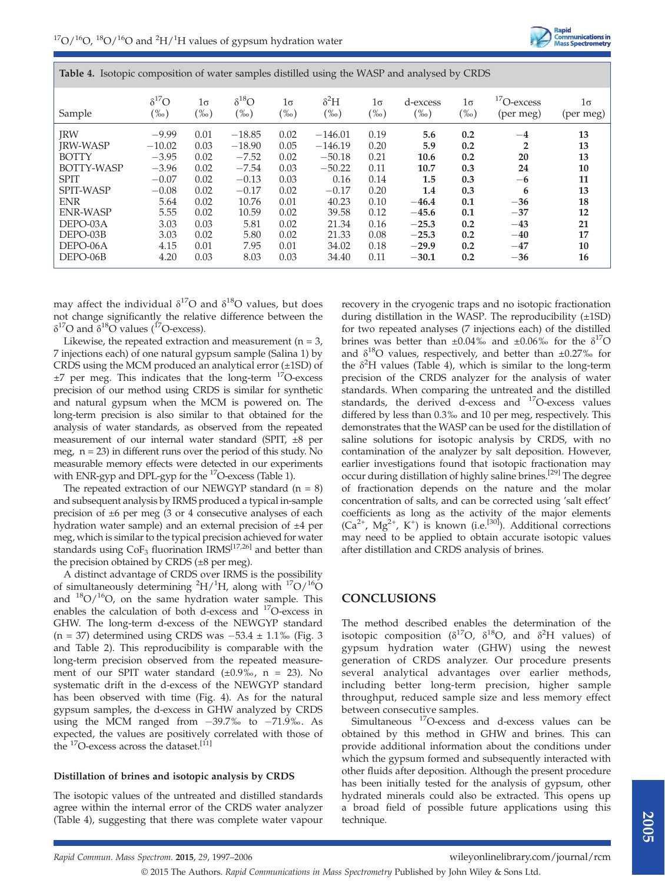Table 4. Isotopic composition of water samples distilled using the WASP and analysed by CRDS

| .                 |                |           |                |           | $\circ$      |           |          |           |               |           |
|-------------------|----------------|-----------|----------------|-----------|--------------|-----------|----------|-----------|---------------|-----------|
| Sample            | $\delta^{17}O$ | $1\sigma$ | $\delta^{18}O$ | $1\sigma$ | $\delta^2 H$ | $1\sigma$ | d-excess | $1\sigma$ | $17$ O-excess | 1σ        |
|                   | $(\%0)$        | $(\%0)$   | $(\%0)$        | $(\%0)$   | $(\%0)$      | $(\%0)$   | $(\%0)$  | $(\%0)$   | (per meg)     | (per meg) |
| <b>IRW</b>        | $-9.99$        | 0.01      | $-18.85$       | 0.02      | $-146.01$    | 0.19      | 5.6      | 0.2       | $-4$          | 13        |
| <b>IRW-WASP</b>   | $-10.02$       | 0.03      | $-18.90$       | 0.05      | $-146.19$    | 0.20      | 5.9      | 0.2       | 2             | 13        |
| <b>BOTTY</b>      | $-3.95$        | 0.02      | $-7.52$        | 0.02      | $-50.18$     | 0.21      | 10.6     | 0.2       | 20            | 13        |
| <b>BOTTY-WASP</b> | $-3.96$        | 0.02      | $-7.54$        | 0.03      | $-50.22$     | 0.11      | 10.7     | 0.3       | 24            | 10        |
| <b>SPIT</b>       | $-0.07$        | 0.02      | $-0.13$        | 0.03      | 0.16         | 0.14      | 1.5      | 0.3       | $-6$          | 11        |
| <b>SPIT-WASP</b>  | $-0.08$        | 0.02      | $-0.17$        | 0.02      | $-0.17$      | 0.20      | 1.4      | 0.3       | 6             | 13        |
| <b>ENR</b>        | 5.64           | 0.02      | 10.76          | 0.01      | 40.23        | 0.10      | $-46.4$  | 0.1       | $-36$         | 18        |
| <b>ENR-WASP</b>   | 5.55           | 0.02      | 10.59          | 0.02      | 39.58        | 0.12      | $-45.6$  | 0.1       | $-37$         | 12        |
| DEPO-03A          | 3.03           | 0.03      | 5.81           | 0.02      | 21.34        | 0.16      | $-25.3$  | 0.2       | $-43$         | 21        |
| DEPO-03B          | 3.03           | 0.02      | 5.80           | 0.02      | 21.33        | 0.08      | $-25.3$  | 0.2       | $-40$         | 17        |
| DEPO-06A          | 4.15           | 0.01      | 7.95           | 0.01      | 34.02        | 0.18      | $-29.9$  | 0.2       | $-47$         | 10        |
| DEPO-06B          | 4.20           | 0.03      | 8.03           | 0.03      | 34.40        | 0.11      | $-30.1$  | 0.2       | $-36$         | 16        |

may affect the individual  $\delta^{17}O$  and  $\delta^{18}O$  values, but does not change significantly the relative difference between the δ<sup>17</sup>O and δ<sup>18</sup>O values (<sup>17</sup>O-excess).

Likewise, the repeated extraction and measurement ( $n = 3$ , 7 injections each) of one natural gypsum sample (Salina 1) by CRDS using the MCM produced an analytical error (±1SD) of  $\pm$ 7 per meg. This indicates that the long-term  $^{17}$ O-excess precision of our method using CRDS is similar for synthetic and natural gypsum when the MCM is powered on. The long-term precision is also similar to that obtained for the analysis of water standards, as observed from the repeated measurement of our internal water standard (SPIT, ±8 per meg,  $n = 23$ ) in different runs over the period of this study. No measurable memory effects were detected in our experiments with ENR-gyp and DPL-gyp for the <sup>17</sup>O-excess (Table 1).

The repeated extraction of our NEWGYP standard  $(n = 8)$ and subsequent analysis by IRMS produced a typical in-sample precision of ±6 per meg (3 or 4 consecutive analyses of each hydration water sample) and an external precision of ±4 per meg, which is similar to the typical precision achieved for water standards using CoF<sub>3</sub> fluorination IRMS<sup>[17,26]</sup> and better than the precision obtained by CRDS (±8 per meg).

A distinct advantage of CRDS over IRMS is the possibility of simultaneously determining  ${}^{2}H/{}^{1}H$ , along with  ${}^{17}O/{}^{16}O$ and  $18O/16O$ , on the same hydration water sample. This enables the calculation of both d-excess and 17O-excess in GHW. The long-term d-excess of the NEWGYP standard  $(n = 37)$  determined using CRDS was  $-53.4 \pm 1.1\%$  (Fig. 3) and Table 2). This reproducibility is comparable with the long-term precision observed from the repeated measurement of our SPIT water standard  $(\pm 0.9\%$ , n = 23). No systematic drift in the d-excess of the NEWGYP standard has been observed with time (Fig. 4). As for the natural gypsum samples, the d-excess in GHW analyzed by CRDS using the MCM ranged from  $-39.7\%$  to  $-71.9\%$ . As expected, the values are positively correlated with those of the <sup>17</sup>O-excess across the dataset.<sup>[11]</sup>

#### Distillation of brines and isotopic analysis by CRDS

The isotopic values of the untreated and distilled standards agree within the internal error of the CRDS water analyzer (Table 4), suggesting that there was complete water vapour

recovery in the cryogenic traps and no isotopic fractionation during distillation in the WASP. The reproducibility (±1SD) for two repeated analyses (7 injections each) of the distilled brines was better than  $\pm 0.04\%$  and  $\pm 0.06\%$  for the  $\delta^{17}O$ and  $\delta^{18}$ O values, respectively, and better than  $\pm 0.27\%$  for the  $\delta^2$ H values (Table 4), which is similar to the long-term precision of the CRDS analyzer for the analysis of water standards. When comparing the untreated and the distilled standards, the derived d-excess and 17O-excess values differed by less than 0.3‰ and 10 per meg, respectively. This demonstrates that the WASP can be used for the distillation of saline solutions for isotopic analysis by CRDS, with no contamination of the analyzer by salt deposition. However, earlier investigations found that isotopic fractionation may occur during distillation of highly saline brines.[29] The degree of fractionation depends on the nature and the molar concentration of salts, and can be corrected using 'salt effect' coefficients as long as the activity of the major elements  $(Ca^{2+}$ , Mg<sup>2+</sup>, K<sup>+</sup>) is known (i.e.<sup>[30]</sup>). Additional corrections may need to be applied to obtain accurate isotopic values after distillation and CRDS analysis of brines.

Rapid<br>Communications in<br>Mass Spectrometry

## **CONCLUSIONS**

© 2015 The Authors. Rapid Communications in Mass Spectrometry Published by John Wiley & Sons Ltd.

The method described enables the determination of the isotopic composition ( $\delta^{17}O$ ,  $\delta^{18}O$ , and  $\delta^{2}H$  values) of gypsum hydration water (GHW) using the newest generation of CRDS analyzer. Our procedure presents several analytical advantages over earlier methods, including better long-term precision, higher sample throughput, reduced sample size and less memory effect between consecutive samples.

Simultaneous 17O-excess and d-excess values can be obtained by this method in GHW and brines. This can provide additional information about the conditions under which the gypsum formed and subsequently interacted with other fluids after deposition. Although the present procedure has been initially tested for the analysis of gypsum, other hydrated minerals could also be extracted. This opens up a broad field of possible future applications using this technique.